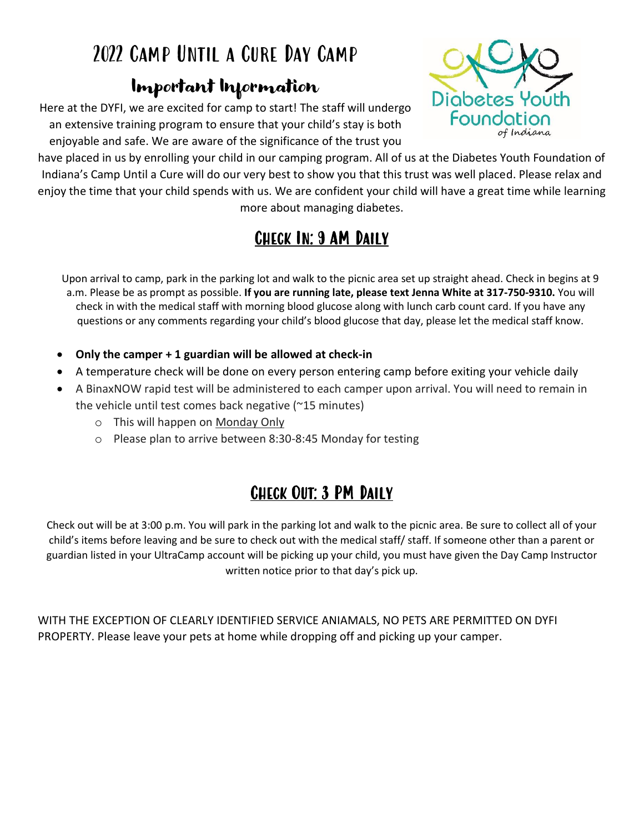# 2022 Camp Until a Cure Day Camp

### Important Information

Here at the DYFI, we are excited for camp to start! The staff will undergo an extensive training program to ensure that your child's stay is both enjoyable and safe. We are aware of the significance of the trust you

have placed in us by enrolling your child in our camping program. All of us at the Diabetes Youth Foundation of Indiana's Camp Until a Cure will do our very best to show you that this trust was well placed. Please relax and enjoy the time that your child spends with us. We are confident your child will have a great time while learning more about managing diabetes.

### Check In: 9 AM Daily

Upon arrival to camp, park in the parking lot and walk to the picnic area set up straight ahead. Check in begins at 9 a.m. Please be as prompt as possible. **If you are running late, please text Jenna White at 317-750-9310.** You will check in with the medical staff with morning blood glucose along with lunch carb count card. If you have any questions or any comments regarding your child's blood glucose that day, please let the medical staff know.

- **Only the camper + 1 guardian will be allowed at check-in**
- A temperature check will be done on every person entering camp before exiting your vehicle daily
- A BinaxNOW rapid test will be administered to each camper upon arrival. You will need to remain in the vehicle until test comes back negative (~15 minutes)
	- o This will happen on Monday Only
	- o Please plan to arrive between 8:30-8:45 Monday for testing

## Check Out: 3 PM Daily

Check out will be at 3:00 p.m. You will park in the parking lot and walk to the picnic area. Be sure to collect all of your child's items before leaving and be sure to check out with the medical staff/ staff. If someone other than a parent or guardian listed in your UltraCamp account will be picking up your child, you must have given the Day Camp Instructor written notice prior to that day's pick up.

WITH THE EXCEPTION OF CLEARLY IDENTIFIED SERVICE ANIAMALS, NO PETS ARE PERMITTED ON DYFI PROPERTY. Please leave your pets at home while dropping off and picking up your camper.

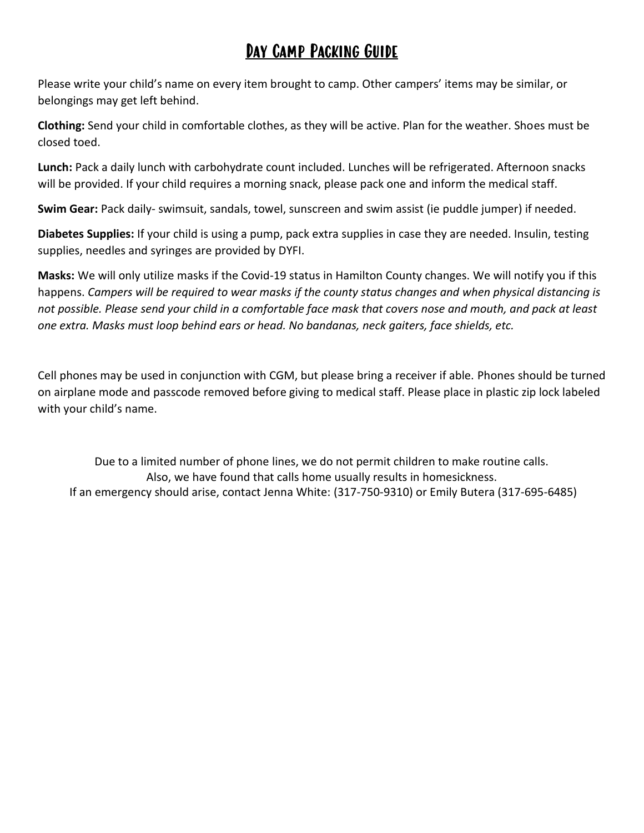#### Day Camp Packing Guide

Please write your child's name on every item brought to camp. Other campers' items may be similar, or belongings may get left behind.

**Clothing:** Send your child in comfortable clothes, as they will be active. Plan for the weather. Shoes must be closed toed.

**Lunch:** Pack a daily lunch with carbohydrate count included. Lunches will be refrigerated. Afternoon snacks will be provided. If your child requires a morning snack, please pack one and inform the medical staff.

**Swim Gear:** Pack daily- swimsuit, sandals, towel, sunscreen and swim assist (ie puddle jumper) if needed.

**Diabetes Supplies:** If your child is using a pump, pack extra supplies in case they are needed. Insulin, testing supplies, needles and syringes are provided by DYFI.

**Masks:** We will only utilize masks if the Covid-19 status in Hamilton County changes. We will notify you if this happens. *Campers will be required to wear masks if the county status changes and when physical distancing is not possible. Please send your child in a comfortable face mask that covers nose and mouth, and pack at least one extra. Masks must loop behind ears or head. No bandanas, neck gaiters, face shields, etc.*

Cell phones may be used in conjunction with CGM, but please bring a receiver if able. Phones should be turned on airplane mode and passcode removed before giving to medical staff. Please place in plastic zip lock labeled with your child's name.

Due to a limited number of phone lines, we do not permit children to make routine calls. Also, we have found that calls home usually results in homesickness. If an emergency should arise, contact Jenna White: (317-750-9310) or Emily Butera (317-695-6485)